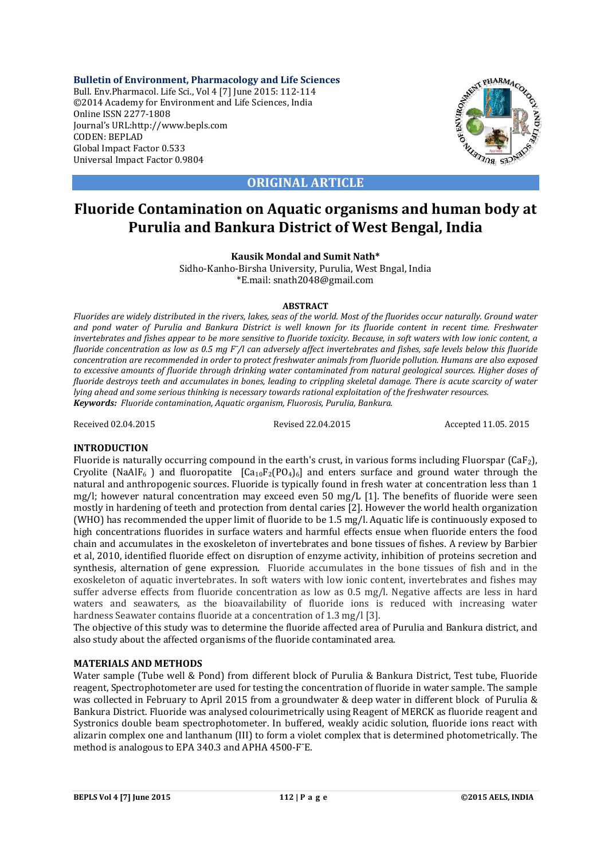**Bulletin of Environment, Pharmacology and Life Sciences** Bull. Env.Pharmacol. Life Sci., Vol 4 [7] June 2015: 112-114 ©2014 Academy for Environment and Life Sciences, India Online ISSN 2277-1808 Journal's URL:http://www.bepls.com CODEN: BEPLAD Global Impact Factor 0.533 Universal Impact Factor 0.9804



**ORIGINAL ARTICLE**

# **Fluoride Contamination on Aquatic organisms and human body at Purulia and Bankura District of West Bengal, India**

**Kausik Mondal and Sumit Nath\***

Sidho-Kanho-Birsha University, Purulia, West Bngal, India \*E.mail: snath2048@gmail.com

# **ABSTRACT**

*Fluorides are widely distributed in the rivers, lakes, seas of the world. Most of the fluorides occur naturally. Ground water and pond water of Purulia and Bankura District is well known for its fluoride content in recent time. Freshwater invertebrates and fishes appear to be more sensitive to fluoride toxicity. Because, in soft waters with low ionic content, a fluoride concentration as low as 0.5 mg F<sup>* $-$ *</sup>/l can adversely affect invertebrates and fishes, safe levels below this fluoride concentration are recommended in order to protect freshwater animals from fluoride pollution. Humans are also exposed to excessive amounts of fluoride through drinking water contaminated from natural geological sources. Higher doses of fluoride destroys teeth and accumulates in bones, leading to crippling skeletal damage. There is acute scarcity of water lying ahead and some serious thinking is necessary towards rational exploitation of the freshwater resources. Keywords: Fluoride contamination, Aquatic organism, Fluorosis, Purulia, Bankura.*

Received 02.04.2015 Revised 22.04.2015 Accepted 11.05. 2015

# **INTRODUCTION**

Fluoride is naturally occurring compound in the earth's crust, in various forms including Fluorspar (CaF2), Cryolite (NaAlF<sub>6</sub>) and fluoropatite  $[Ca_{10}F_2(PO_4)_6]$  and enters surface and ground water through the natural and anthropogenic sources. Fluoride is typically found in fresh water at concentration less than 1 mg/l; however natural concentration may exceed even 50 mg/L [1]. The benefits of fluoride were seen mostly in hardening of teeth and protection from dental caries [2]. However the world health organization (WHO) has recommended the upper limit of fluoride to be 1.5 mg/l. Aquatic life is continuously exposed to high concentrations fluorides in surface waters and harmful effects ensue when fluoride enters the food chain and accumulates in the exoskeleton of invertebrates and bone tissues of fishes. A review by Barbier et al, 2010, identified fluoride effect on disruption of enzyme activity, inhibition of proteins secretion and synthesis, alternation of gene expression. Fluoride accumulates in the bone tissues of fish and in the exoskeleton of aquatic invertebrates. In soft waters with low ionic content, invertebrates and fishes may suffer adverse effects from fluoride concentration as low as 0.5 mg/l. Negative affects are less in hard waters and seawaters, as the bioavailability of fluoride ions is reduced with increasing water hardness Seawater contains fluoride at a concentration of 1.3 mg/l [3].

The objective of this study was to determine the fluoride affected area of Purulia and Bankura district, and also study about the affected organisms of the fluoride contaminated area.

# **MATERIALS AND METHODS**

Water sample (Tube well & Pond) from different block of Purulia & Bankura District, Test tube, Fluoride reagent, Spectrophotometer are used for testing the concentration of fluoride in water sample. The sample was collected in February to April 2015 from a groundwater & deep water in different block of Purulia & Bankura District. Fluoride was analysed colourimetrically using Reagent of MERCK as fluoride reagent and Systronics double beam spectrophotometer. In buffered, weakly acidic solution, fluoride ions react with alizarin complex one and lanthanum (III) to form a violet complex that is determined photometrically. The method is analogous to EPA 340.3 and APHA 4500-F<sup>-</sup>E.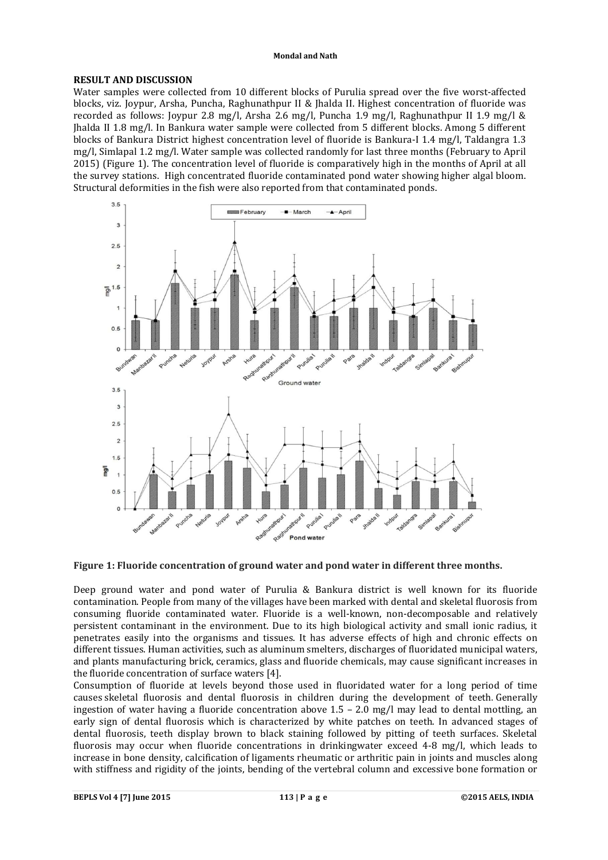#### **Mondal and Nath**

# **RESULT AND DISCUSSION**

Water samples were collected from 10 different blocks of Purulia spread over the five worst-affected blocks, viz. Joypur, Arsha, Puncha, Raghunathpur II & Jhalda II. Highest concentration of fluoride was recorded as follows: Joypur 2.8 mg/l, Arsha 2.6 mg/l, Puncha 1.9 mg/l, Raghunathpur II 1.9 mg/l & Jhalda II 1.8 mg/l. In Bankura water sample were collected from 5 different blocks. Among 5 different blocks of Bankura District highest concentration level of fluoride is Bankura-I 1.4 mg/l, Taldangra 1.3 mg/l, Simlapal 1.2 mg/l. Water sample was collected randomly for last three months (February to April 2015) (Figure 1). The concentration level of fluoride is comparatively high in the months of April at all the survey stations. High concentrated fluoride contaminated pond water showing higher algal bloom. Structural deformities in the fish were also reported from that contaminated ponds.



#### **Figure 1: Fluoride concentration of ground water and pond water in different three months.**

Deep ground water and pond water of Purulia & Bankura district is well known for its fluoride contamination. People from many of the villages have been marked with dental and skeletal fluorosis from consuming fluoride contaminated water. Fluoride is a well-known, non-decomposable and relatively persistent contaminant in the environment. Due to its high biological activity and small ionic radius, it penetrates easily into the organisms and tissues. It has adverse effects of high and chronic effects on different tissues. Human activities, such as aluminum smelters, discharges of fluoridated municipal waters, and plants manufacturing brick, ceramics, glass and fluoride chemicals, may cause significant increases in the fluoride concentration of surface waters [4].

Consumption of fluoride at levels beyond those used in fluoridated water for a long period of time causes skeletal fluorosis and dental fluorosis in children during the development of teeth. Generally ingestion of water having a fluoride concentration above  $1.5 - 2.0$  mg/l may lead to dental mottling, an early sign of dental fluorosis which is characterized by white patches on teeth. In advanced stages of dental fluorosis, teeth display brown to black staining followed by pitting of teeth surfaces. Skeletal fluorosis may occur when fluoride concentrations in drinkingwater exceed 4-8 mg/l, which leads to increase in bone density, calcification of ligaments rheumatic or arthritic pain in joints and muscles along with stiffness and rigidity of the joints, bending of the vertebral column and excessive bone formation or